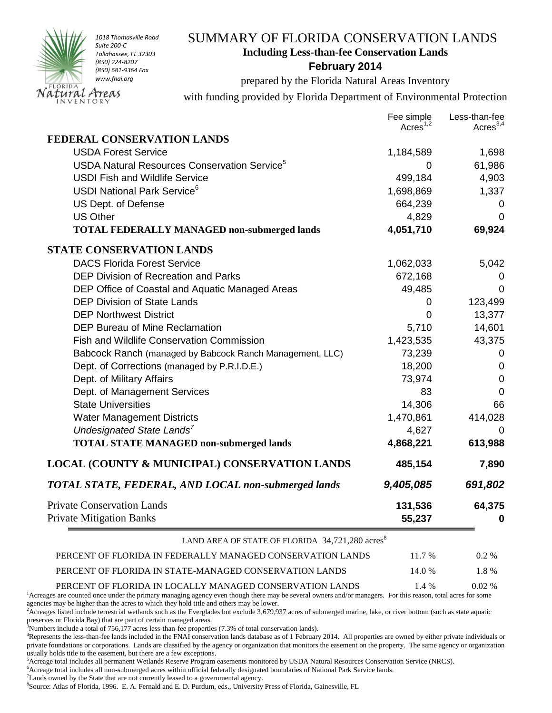

## SUMMARY OF FLORIDA CONSERVATION LANDS **Including Less-than-fee Conservation Lands**

## **February 2014**

prepared by the Florida Natural Areas Inventory

with funding provided by Florida Department of Environmental Protection

|                                                             | Fee simple<br>Acres <sup>1,2</sup> | Less-than-fee<br>Acres $^{3,4}$ |
|-------------------------------------------------------------|------------------------------------|---------------------------------|
| FEDERAL CONSERVATION LANDS                                  |                                    |                                 |
| <b>USDA Forest Service</b>                                  | 1,184,589                          | 1,698                           |
| USDA Natural Resources Conservation Service <sup>5</sup>    | 0                                  | 61,986                          |
| <b>USDI Fish and Wildlife Service</b>                       | 499,184                            | 4,903                           |
| <b>USDI National Park Service</b> <sup>6</sup>              | 1,698,869                          | 1,337                           |
| US Dept. of Defense                                         | 664,239                            | 0                               |
| <b>US Other</b>                                             | 4,829                              | $\mathbf 0$                     |
| TOTAL FEDERALLY MANAGED non-submerged lands                 | 4,051,710                          | 69,924                          |
| <b>STATE CONSERVATION LANDS</b>                             |                                    |                                 |
| <b>DACS Florida Forest Service</b>                          | 1,062,033                          | 5,042                           |
| <b>DEP Division of Recreation and Parks</b>                 | 672,168                            | 0                               |
| DEP Office of Coastal and Aquatic Managed Areas             | 49,485                             | 0                               |
| <b>DEP Division of State Lands</b>                          | 0                                  | 123,499                         |
| <b>DEP Northwest District</b>                               | 0                                  | 13,377                          |
| <b>DEP Bureau of Mine Reclamation</b>                       | 5,710                              | 14,601                          |
| Fish and Wildlife Conservation Commission                   | 1,423,535                          | 43,375                          |
| Babcock Ranch (managed by Babcock Ranch Management, LLC)    | 73,239                             | 0                               |
| Dept. of Corrections (managed by P.R.I.D.E.)                | 18,200                             | $\mathbf 0$                     |
| Dept. of Military Affairs                                   | 73,974                             | 0                               |
| Dept. of Management Services                                | 83                                 | $\Omega$                        |
| <b>State Universities</b>                                   | 14,306                             | 66                              |
| <b>Water Management Districts</b>                           | 1,470,861                          | 414,028                         |
| Undesignated State Lands <sup>7</sup>                       | 4,627                              | 0                               |
| <b>TOTAL STATE MANAGED non-submerged lands</b>              | 4,868,221                          | 613,988                         |
| <b>LOCAL (COUNTY &amp; MUNICIPAL) CONSERVATION LANDS</b>    | 485,154                            | 7,890                           |
| TOTAL STATE, FEDERAL, AND LOCAL non-submerged lands         | 9,405,085                          | 691,802                         |
| <b>Private Conservation Lands</b>                           | 131,536                            | 64,375                          |
| <b>Private Mitigation Banks</b>                             | 55,237                             | 0                               |
| LAND AREA OF STATE OF FLORIDA 34,721,280 acres <sup>8</sup> |                                    |                                 |
| PERCENT OF FLORIDA IN FEDERALLY MANAGED CONSERVATION LANDS  | 11.7 %                             | 0.2 %                           |
| PERCENT OF FLORIDA IN STATE-MANAGED CONSERVATION LANDS      | 14.0%                              | 1.8%                            |

PERCENT OF FLORIDA IN LOCALLY MANAGED CONSERVATION LANDS 1.4 % 0.02 % <sup>1</sup>Acreages are counted once under the primary managing agency even though there may be several owners and/or managers. For this reason, total acres for some agencies may be higher than the acres to which they hold title and others may be lower.

 $^{2}$ Acreages listed include terrestrial wetlands such as the Everglades but exclude 3,679,937 acres of submerged marine, lake, or river bottom (such as state aquatic preserves or Florida Bay) that are part of certain managed areas.

<sup>3</sup>Numbers include a total of 756,177 acres less-than-fee properties (7.3% of total conservation lands).

<sup>4</sup>Represents the less-than-fee lands included in the FNAI conservation lands database as of 1 February 2014. All properties are owned by either private individuals or private foundations or corporations. Lands are classified by the agency or organization that monitors the easement on the property. The same agency or organization usually holds title to the easement, but there are a few exceptions.

<sup>5</sup>Acreage total includes all permanent Wetlands Reserve Program easements monitored by USDA Natural Resources Conservation Service (NRCS).

<sup>6</sup>Acreage total includes all non-submerged acres within official federally designated boundaries of National Park Service lands.

 $7$ Lands owned by the State that are not currently leased to a governmental agency.

8 Source: Atlas of Florida, 1996. E. A. Fernald and E. D. Purdum, eds., University Press of Florida, Gainesville, FL